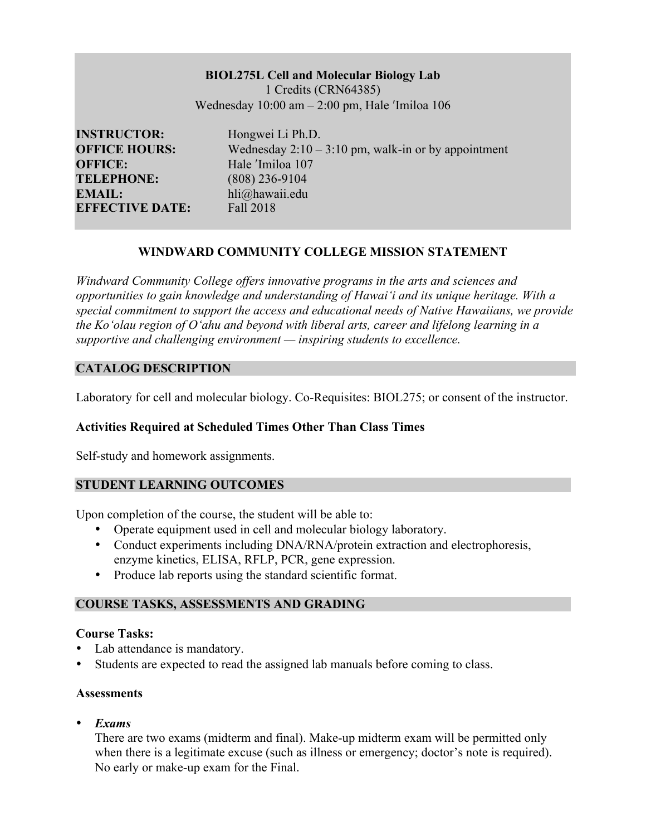# **BIOL275L Cell and Molecular Biology Lab**

1 Credits (CRN64385) Wednesday  $10:00$  am  $-2:00$  pm, Hale *'Imiloa*  $106$ 

**INSTRUCTOR:** Hongwei Li Ph.D. **OFFICE:** Hale <sup>'Imiloa</sup> 107 **TELEPHONE:** (808) 236-9104 **EMAIL:** hli@hawaii.edu **EFFECTIVE DATE:** Fall 2018

**OFFICE HOURS:** Wednesday 2:10 – 3:10 pm, walk-in or by appointment

# **WINDWARD COMMUNITY COLLEGE MISSION STATEMENT**

*Windward Community College offers innovative programs in the arts and sciences and opportunities to gain knowledge and understanding of Hawai'i and its unique heritage. With a special commitment to support the access and educational needs of Native Hawaiians, we provide the Ko'olau region of Oʻahu and beyond with liberal arts, career and lifelong learning in a supportive and challenging environment — inspiring students to excellence.*

## **CATALOG DESCRIPTION**

Laboratory for cell and molecular biology. Co-Requisites: BIOL275; or consent of the instructor.

## **Activities Required at Scheduled Times Other Than Class Times**

Self-study and homework assignments.

## **STUDENT LEARNING OUTCOMES**

Upon completion of the course, the student will be able to:

- Operate equipment used in cell and molecular biology laboratory.
- Conduct experiments including DNA/RNA/protein extraction and electrophoresis, enzyme kinetics, ELISA, RFLP, PCR, gene expression.
- Produce lab reports using the standard scientific format.

## **COURSE TASKS, ASSESSMENTS AND GRADING**

## **Course Tasks:**

- Lab attendance is mandatory.
- Students are expected to read the assigned lab manuals before coming to class.

## **Assessments**

• *Exams*

There are two exams (midterm and final). Make-up midterm exam will be permitted only when there is a legitimate excuse (such as illness or emergency; doctor's note is required). No early or make-up exam for the Final.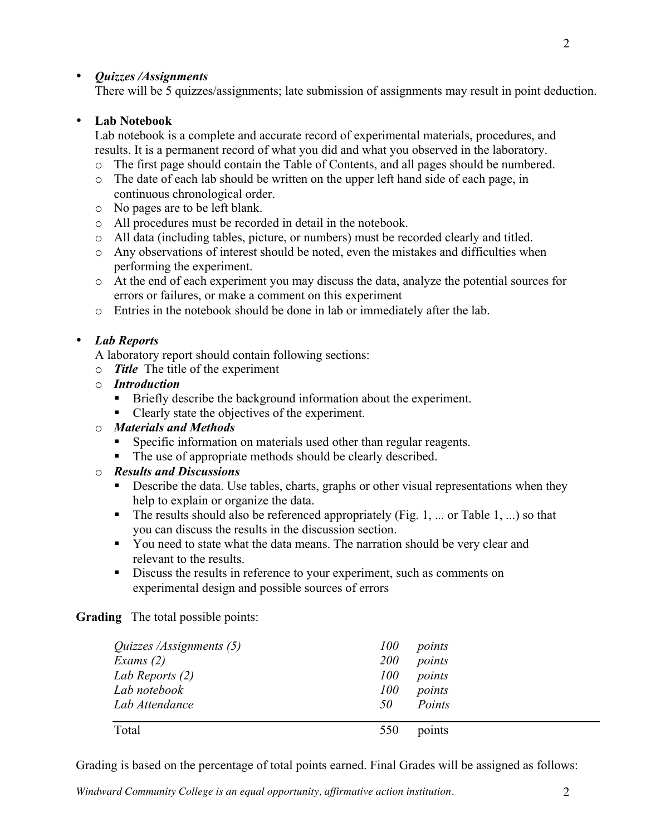## • *Quizzes /Assignments*

There will be 5 quizzes/assignments; late submission of assignments may result in point deduction.

# • **Lab Notebook**

Lab notebook is a complete and accurate record of experimental materials, procedures, and results. It is a permanent record of what you did and what you observed in the laboratory.

- o The first page should contain the Table of Contents, and all pages should be numbered.
- o The date of each lab should be written on the upper left hand side of each page, in continuous chronological order.
- o No pages are to be left blank.
- o All procedures must be recorded in detail in the notebook.
- o All data (including tables, picture, or numbers) must be recorded clearly and titled.
- o Any observations of interest should be noted, even the mistakes and difficulties when performing the experiment.
- o At the end of each experiment you may discuss the data, analyze the potential sources for errors or failures, or make a comment on this experiment
- o Entries in the notebook should be done in lab or immediately after the lab.

## • *Lab Reports*

A laboratory report should contain following sections:

- o *Title* The title of the experiment
- o *Introduction* 
	- Briefly describe the background information about the experiment.
	- § Clearly state the objectives of the experiment.

## o *Materials and Methods*

- § Specific information on materials used other than regular reagents.
- The use of appropriate methods should be clearly described.

#### o *Results and Discussions*

- Describe the data. Use tables, charts, graphs or other visual representations when they help to explain or organize the data.
- The results should also be referenced appropriately (Fig. 1, ... or Table 1, ...) so that you can discuss the results in the discussion section.
- § You need to state what the data means. The narration should be very clear and relevant to the results.
- Discuss the results in reference to your experiment, such as comments on experimental design and possible sources of errors

**Grading** The total possible points:

| <i>Quizzes /Assignments (5)</i> | 100        | points |
|---------------------------------|------------|--------|
| Exams $(2)$                     | <i>200</i> | points |
| Lab Reports (2)                 | <i>100</i> | points |
| Lab notebook                    | <i>100</i> | points |
| Lab Attendance                  | -50        | Points |
| Total                           | 550        | points |

Grading is based on the percentage of total points earned. Final Grades will be assigned as follows: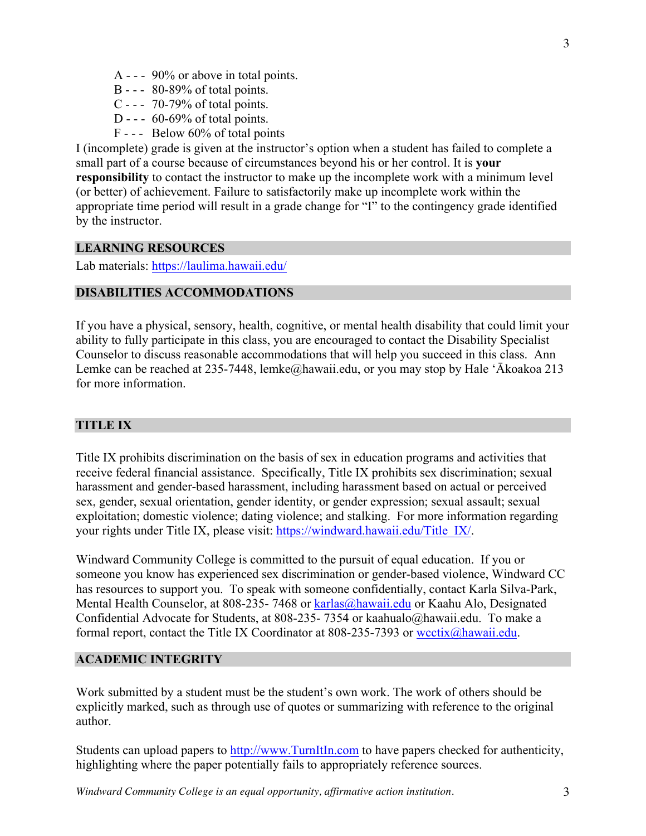- B - 80-89% of total points.
- C - 70-79% of total points.
- D -  $60-69\%$  of total points.
- F - Below 60% of total points

I (incomplete) grade is given at the instructor's option when a student has failed to complete a small part of a course because of circumstances beyond his or her control. It is **your responsibility** to contact the instructor to make up the incomplete work with a minimum level (or better) of achievement. Failure to satisfactorily make up incomplete work within the appropriate time period will result in a grade change for "I" to the contingency grade identified by the instructor.

#### **LEARNING RESOURCES**

Lab materials: https://laulima.hawaii.edu/

#### **DISABILITIES ACCOMMODATIONS**

If you have a physical, sensory, health, cognitive, or mental health disability that could limit your ability to fully participate in this class, you are encouraged to contact the Disability Specialist Counselor to discuss reasonable accommodations that will help you succeed in this class. Ann Lemke can be reached at 235-7448, lemke@hawaii.edu, or you may stop by Hale 'Ākoakoa 213 for more information.

#### **TITLE IX**

Title IX prohibits discrimination on the basis of sex in education programs and activities that receive federal financial assistance. Specifically, Title IX prohibits sex discrimination; sexual harassment and gender-based harassment, including harassment based on actual or perceived sex, gender, sexual orientation, gender identity, or gender expression; sexual assault; sexual exploitation; domestic violence; dating violence; and stalking. For more information regarding your rights under Title IX, please visit: https://windward.hawaii.edu/Title\_IX/.

Windward Community College is committed to the pursuit of equal education. If you or someone you know has experienced sex discrimination or gender-based violence, Windward CC has resources to support you. To speak with someone confidentially, contact Karla Silva-Park, Mental Health Counselor, at 808-235- 7468 or karlas@hawaii.edu or Kaahu Alo, Designated Confidential Advocate for Students, at 808-235- 7354 or kaahualo@hawaii.edu. To make a formal report, contact the Title IX Coordinator at 808-235-7393 or wcctix@hawaii.edu.

#### **ACADEMIC INTEGRITY**

Work submitted by a student must be the student's own work. The work of others should be explicitly marked, such as through use of quotes or summarizing with reference to the original author.

Students can upload papers to http://www.TurnItIn.com to have papers checked for authenticity, highlighting where the paper potentially fails to appropriately reference sources.

*Windward Community College is an equal opportunity, affirmative action institution.* 3